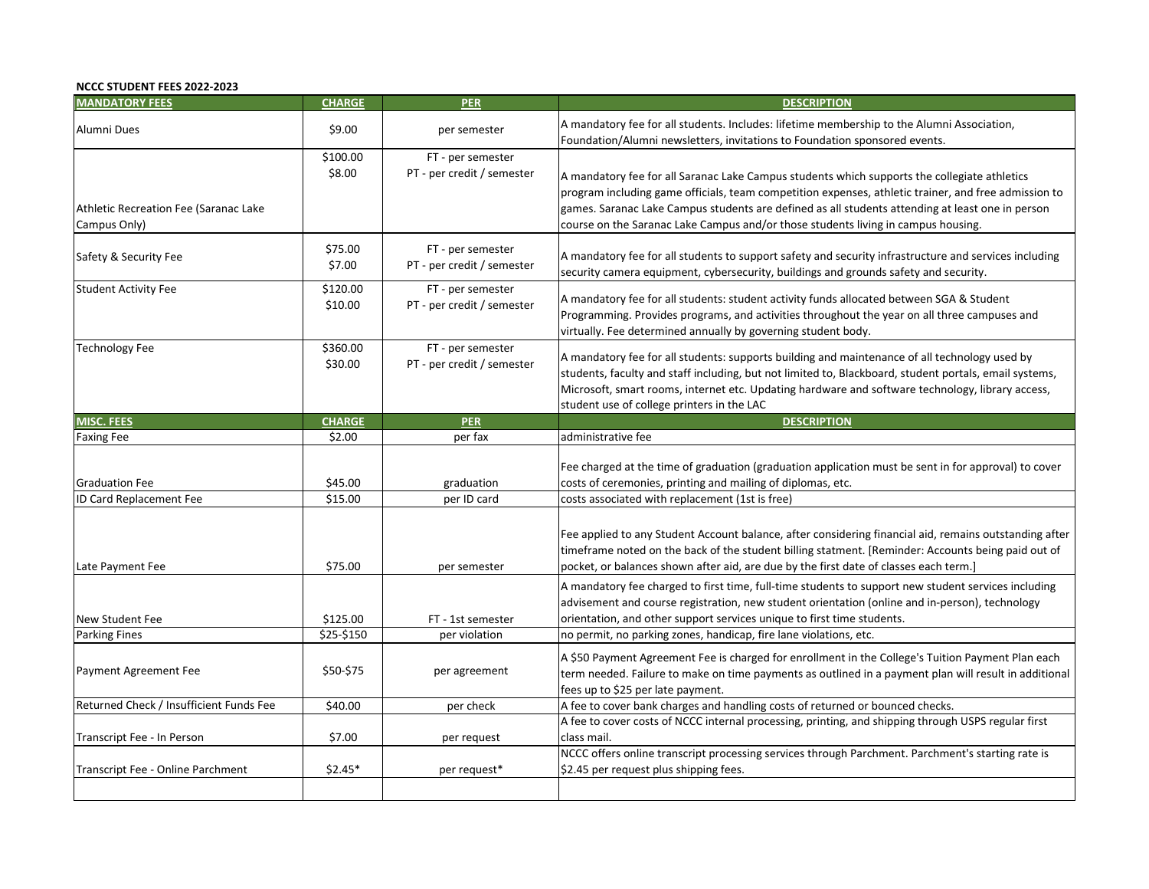## **NCCC STUDENT FEES 2022-2023**

| <b>MANDATORY FEES</b>                                 | <b>CHARGE</b>       | PER                                             | <b>DESCRIPTION</b>                                                                                                                                                                                                                                                                                                                                                                            |
|-------------------------------------------------------|---------------------|-------------------------------------------------|-----------------------------------------------------------------------------------------------------------------------------------------------------------------------------------------------------------------------------------------------------------------------------------------------------------------------------------------------------------------------------------------------|
| Alumni Dues                                           | \$9.00              | per semester                                    | A mandatory fee for all students. Includes: lifetime membership to the Alumni Association,<br>Foundation/Alumni newsletters, invitations to Foundation sponsored events.                                                                                                                                                                                                                      |
| Athletic Recreation Fee (Saranac Lake<br>Campus Only) | \$100.00<br>\$8.00  | FT - per semester<br>PT - per credit / semester | A mandatory fee for all Saranac Lake Campus students which supports the collegiate athletics<br>program including game officials, team competition expenses, athletic trainer, and free admission to<br>games. Saranac Lake Campus students are defined as all students attending at least one in person<br>course on the Saranac Lake Campus and/or those students living in campus housing. |
| Safety & Security Fee                                 | \$75.00<br>\$7.00   | FT - per semester<br>PT - per credit / semester | A mandatory fee for all students to support safety and security infrastructure and services including<br>security camera equipment, cybersecurity, buildings and grounds safety and security.                                                                                                                                                                                                 |
| <b>Student Activity Fee</b>                           | \$120.00<br>\$10.00 | FT - per semester<br>PT - per credit / semester | A mandatory fee for all students: student activity funds allocated between SGA & Student<br>Programming. Provides programs, and activities throughout the year on all three campuses and<br>virtually. Fee determined annually by governing student body.                                                                                                                                     |
| <b>Technology Fee</b>                                 | \$360.00<br>\$30.00 | FT - per semester<br>PT - per credit / semester | A mandatory fee for all students: supports building and maintenance of all technology used by<br>students, faculty and staff including, but not limited to, Blackboard, student portals, email systems,<br>Microsoft, smart rooms, internet etc. Updating hardware and software technology, library access,<br>student use of college printers in the LAC                                     |
| <b>MISC. FEES</b>                                     | <b>CHARGE</b>       | PER                                             | <b>DESCRIPTION</b>                                                                                                                                                                                                                                                                                                                                                                            |
| <b>Faxing Fee</b>                                     | \$2.00              | per fax                                         | administrative fee                                                                                                                                                                                                                                                                                                                                                                            |
| <b>Graduation Fee</b>                                 | \$45.00             | graduation                                      | Fee charged at the time of graduation (graduation application must be sent in for approval) to cover<br>costs of ceremonies, printing and mailing of diplomas, etc.                                                                                                                                                                                                                           |
| ID Card Replacement Fee                               | \$15.00             | per ID card                                     | costs associated with replacement (1st is free)                                                                                                                                                                                                                                                                                                                                               |
| Late Payment Fee                                      | \$75.00             | per semester                                    | Fee applied to any Student Account balance, after considering financial aid, remains outstanding after<br>timeframe noted on the back of the student billing statment. [Reminder: Accounts being paid out of<br>pocket, or balances shown after aid, are due by the first date of classes each term.]                                                                                         |
| New Student Fee                                       | \$125.00            | FT - 1st semester                               | A mandatory fee charged to first time, full-time students to support new student services including<br>advisement and course registration, new student orientation (online and in-person), technology<br>orientation, and other support services unique to first time students.                                                                                                               |
| <b>Parking Fines</b>                                  | \$25-\$150          | per violation                                   | no permit, no parking zones, handicap, fire lane violations, etc.                                                                                                                                                                                                                                                                                                                             |
| Payment Agreement Fee                                 | \$50-\$75           | per agreement                                   | A \$50 Payment Agreement Fee is charged for enrollment in the College's Tuition Payment Plan each<br>term needed. Failure to make on time payments as outlined in a payment plan will result in additional<br>fees up to \$25 per late payment.                                                                                                                                               |
| Returned Check / Insufficient Funds Fee               | \$40.00             | per check                                       | A fee to cover bank charges and handling costs of returned or bounced checks.                                                                                                                                                                                                                                                                                                                 |
| Transcript Fee - In Person                            | \$7.00              | per request                                     | A fee to cover costs of NCCC internal processing, printing, and shipping through USPS regular first<br>class mail.                                                                                                                                                                                                                                                                            |
| Transcript Fee - Online Parchment                     | $$2.45*$            | per request*                                    | NCCC offers online transcript processing services through Parchment. Parchment's starting rate is<br>\$2.45 per request plus shipping fees.                                                                                                                                                                                                                                                   |
|                                                       |                     |                                                 |                                                                                                                                                                                                                                                                                                                                                                                               |